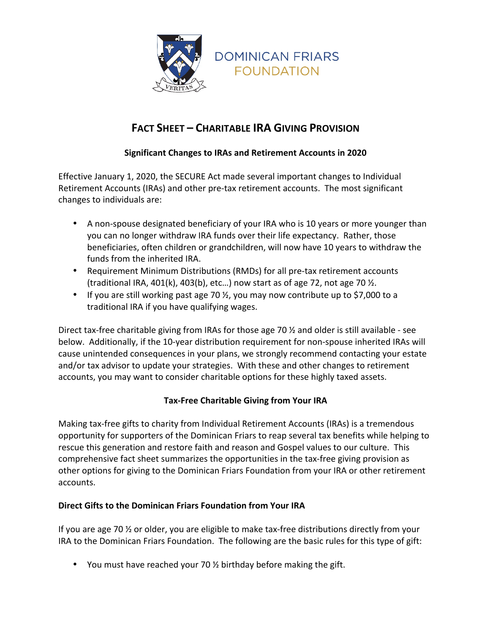

# **FACT SHEET – CHARITABLE IRA GIVING PROVISION**

# **Significant Changes to IRAs and Retirement Accounts in 2020**

Effective January 1, 2020, the SECURE Act made several important changes to Individual Retirement Accounts (IRAs) and other pre-tax retirement accounts. The most significant changes to individuals are:

- A non-spouse designated beneficiary of your IRA who is 10 years or more younger than you can no longer withdraw IRA funds over their life expectancy. Rather, those beneficiaries, often children or grandchildren, will now have 10 years to withdraw the funds from the inherited IRA.
- Requirement Minimum Distributions (RMDs) for all pre-tax retirement accounts (traditional IRA, 401(k), 403(b), etc...) now start as of age 72, not age 70  $\frac{1}{2}$ .
- If you are still working past age 70  $\frac{1}{2}$ , you may now contribute up to \$7,000 to a traditional IRA if you have qualifying wages.

Direct tax-free charitable giving from IRAs for those age 70  $\frac{1}{2}$  and older is still available - see below. Additionally, if the 10-year distribution requirement for non-spouse inherited IRAs will cause unintended consequences in your plans, we strongly recommend contacting your estate and/or tax advisor to update your strategies. With these and other changes to retirement accounts, you may want to consider charitable options for these highly taxed assets.

# **Tax-Free Charitable Giving from Your IRA**

Making tax-free gifts to charity from Individual Retirement Accounts (IRAs) is a tremendous opportunity for supporters of the Dominican Friars to reap several tax benefits while helping to rescue this generation and restore faith and reason and Gospel values to our culture. This comprehensive fact sheet summarizes the opportunities in the tax-free giving provision as other options for giving to the Dominican Friars Foundation from your IRA or other retirement accounts.

## **Direct Gifts to the Dominican Friars Foundation from Your IRA**

If you are age 70  $\frac{1}{2}$  or older, you are eligible to make tax-free distributions directly from your IRA to the Dominican Friars Foundation. The following are the basic rules for this type of gift:

• You must have reached your 70  $\frac{1}{2}$  birthday before making the gift.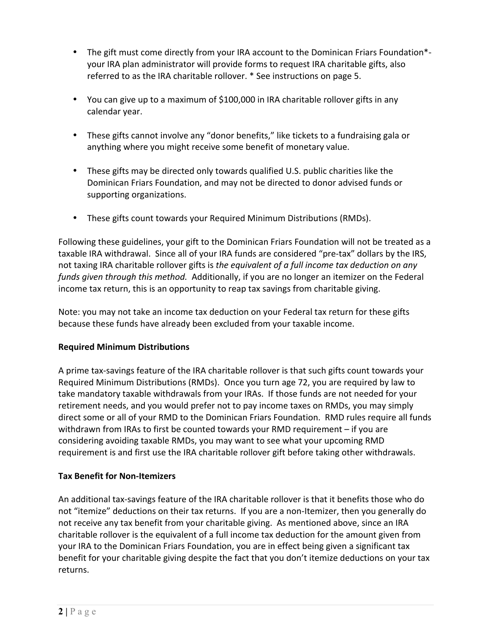- The gift must come directly from your IRA account to the Dominican Friars Foundation\*your IRA plan administrator will provide forms to request IRA charitable gifts, also referred to as the IRA charitable rollover. \* See instructions on page 5.
- You can give up to a maximum of \$100,000 in IRA charitable rollover gifts in any calendar year.
- These gifts cannot involve any "donor benefits," like tickets to a fundraising gala or anything where you might receive some benefit of monetary value.
- These gifts may be directed only towards qualified U.S. public charities like the Dominican Friars Foundation, and may not be directed to donor advised funds or supporting organizations.
- These gifts count towards your Required Minimum Distributions (RMDs).

Following these guidelines, your gift to the Dominican Friars Foundation will not be treated as a taxable IRA withdrawal. Since all of your IRA funds are considered "pre-tax" dollars by the IRS, not taxing IRA charitable rollover gifts is *the equivalent of a full income tax deduction on any funds given through this method.* Additionally, if you are no longer an itemizer on the Federal income tax return, this is an opportunity to reap tax savings from charitable giving.

Note: you may not take an income tax deduction on your Federal tax return for these gifts because these funds have already been excluded from your taxable income.

# **Required Minimum Distributions**

A prime tax-savings feature of the IRA charitable rollover is that such gifts count towards your Required Minimum Distributions (RMDs). Once you turn age 72, you are required by law to take mandatory taxable withdrawals from your IRAs. If those funds are not needed for your retirement needs, and you would prefer not to pay income taxes on RMDs, you may simply direct some or all of your RMD to the Dominican Friars Foundation. RMD rules require all funds withdrawn from IRAs to first be counted towards your RMD requirement – if you are considering avoiding taxable RMDs, you may want to see what your upcoming RMD requirement is and first use the IRA charitable rollover gift before taking other withdrawals.

# **Tax Benefit for Non-Itemizers**

An additional tax-savings feature of the IRA charitable rollover is that it benefits those who do not "itemize" deductions on their tax returns. If you are a non-Itemizer, then you generally do not receive any tax benefit from your charitable giving. As mentioned above, since an IRA charitable rollover is the equivalent of a full income tax deduction for the amount given from your IRA to the Dominican Friars Foundation, you are in effect being given a significant tax benefit for your charitable giving despite the fact that you don't itemize deductions on your tax returns.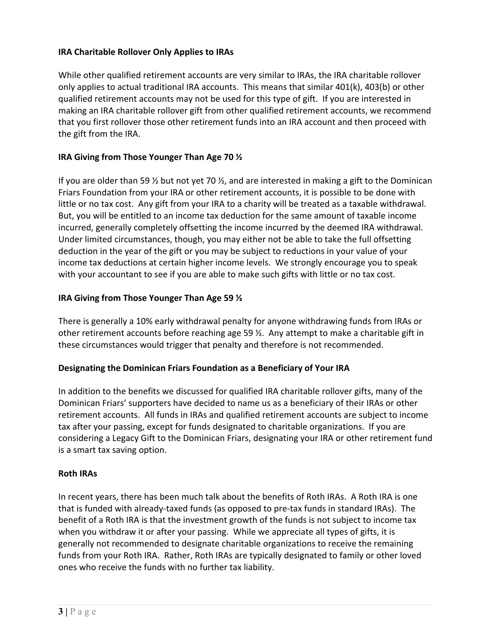#### **IRA Charitable Rollover Only Applies to IRAs**

While other qualified retirement accounts are very similar to IRAs, the IRA charitable rollover only applies to actual traditional IRA accounts. This means that similar  $401(k)$ ,  $403(b)$  or other qualified retirement accounts may not be used for this type of gift. If you are interested in making an IRA charitable rollover gift from other qualified retirement accounts, we recommend that you first rollover those other retirement funds into an IRA account and then proceed with the gift from the IRA.

## **IRA Giving from Those Younger Than Age 70**  $\frac{1}{2}$

If you are older than 59  $\frac{1}{2}$  but not yet 70  $\frac{1}{2}$ , and are interested in making a gift to the Dominican Friars Foundation from your IRA or other retirement accounts, it is possible to be done with little or no tax cost. Any gift from your IRA to a charity will be treated as a taxable withdrawal. But, you will be entitled to an income tax deduction for the same amount of taxable income incurred, generally completely offsetting the income incurred by the deemed IRA withdrawal. Under limited circumstances, though, you may either not be able to take the full offsetting deduction in the year of the gift or you may be subject to reductions in your value of your income tax deductions at certain higher income levels. We strongly encourage you to speak with your accountant to see if you are able to make such gifts with little or no tax cost.

## **IRA Giving from Those Younger Than Age 59**  $\frac{1}{2}$

There is generally a 10% early withdrawal penalty for anyone withdrawing funds from IRAs or other retirement accounts before reaching age 59  $\frac{1}{2}$ . Any attempt to make a charitable gift in these circumstances would trigger that penalty and therefore is not recommended.

## **Designating the Dominican Friars Foundation as a Beneficiary of Your IRA**

In addition to the benefits we discussed for qualified IRA charitable rollover gifts, many of the Dominican Friars' supporters have decided to name us as a beneficiary of their IRAs or other retirement accounts. All funds in IRAs and qualified retirement accounts are subject to income tax after your passing, except for funds designated to charitable organizations. If you are considering a Legacy Gift to the Dominican Friars, designating your IRA or other retirement fund is a smart tax saving option.

## **Roth IRAs**

In recent years, there has been much talk about the benefits of Roth IRAs. A Roth IRA is one that is funded with already-taxed funds (as opposed to pre-tax funds in standard IRAs). The benefit of a Roth IRA is that the investment growth of the funds is not subject to income tax when you withdraw it or after your passing. While we appreciate all types of gifts, it is generally not recommended to designate charitable organizations to receive the remaining funds from your Roth IRA. Rather, Roth IRAs are typically designated to family or other loved ones who receive the funds with no further tax liability.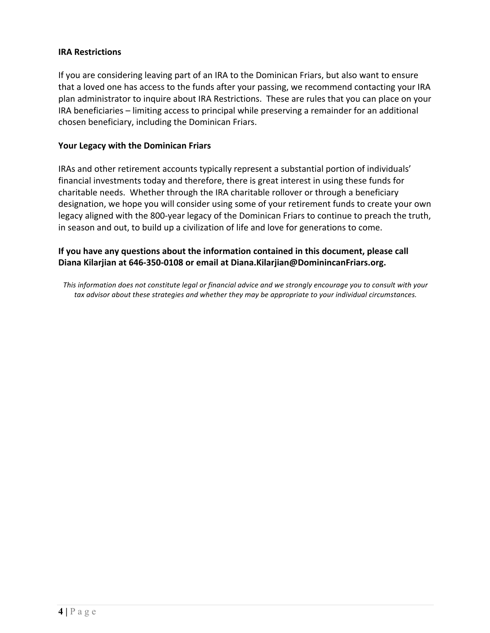#### **IRA Restrictions**

If you are considering leaving part of an IRA to the Dominican Friars, but also want to ensure that a loved one has access to the funds after your passing, we recommend contacting your IRA plan administrator to inquire about IRA Restrictions. These are rules that you can place on your IRA beneficiaries – limiting access to principal while preserving a remainder for an additional chosen beneficiary, including the Dominican Friars.

#### Your Legacy with the Dominican Friars

IRAs and other retirement accounts typically represent a substantial portion of individuals' financial investments today and therefore, there is great interest in using these funds for charitable needs. Whether through the IRA charitable rollover or through a beneficiary designation, we hope you will consider using some of your retirement funds to create your own legacy aligned with the 800-year legacy of the Dominican Friars to continue to preach the truth, in season and out, to build up a civilization of life and love for generations to come.

## **If you have any questions about the information contained in this document, please call** Diana Kilarjian at 646-350-0108 or email at Diana.Kilarjian@DominincanFriars.org.

This information does not constitute legal or financial advice and we strongly encourage you to consult with your tax advisor about these strategies and whether they may be appropriate to your individual circumstances.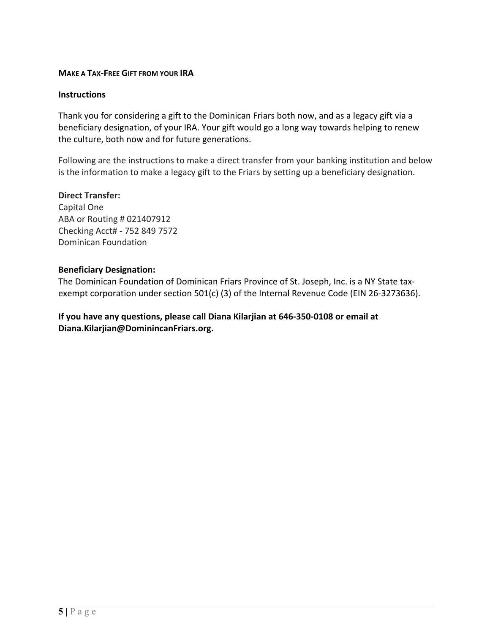#### **MAKE A TAX-FREE GIFT FROM YOUR IRA**

#### **Instructions**

Thank you for considering a gift to the Dominican Friars both now, and as a legacy gift via a beneficiary designation, of your IRA. Your gift would go a long way towards helping to renew the culture, both now and for future generations.

Following are the instructions to make a direct transfer from your banking institution and below is the information to make a legacy gift to the Friars by setting up a beneficiary designation.

#### **Direct Transfer:**

Capital One ABA or Routing # 021407912 Checking Acct# - 752 849 7572 Dominican Foundation

#### **Beneficiary Designation:**

The Dominican Foundation of Dominican Friars Province of St. Joseph, Inc. is a NY State taxexempt corporation under section 501(c) (3) of the Internal Revenue Code (EIN 26-3273636).

If you have any questions, please call Diana Kilarjian at 646-350-0108 or email at **Diana.Kilarjian@DominincanFriars.org.**